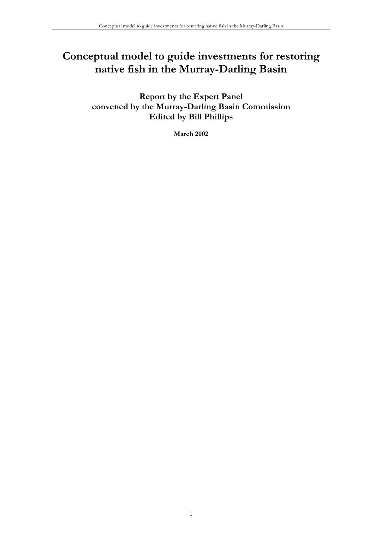# **Conceptual model to guide investments for restoring native fish in the Murray-Darling Basin**

**Report by the Expert Panel convened by the Murray-Darling Basin Commission Edited by Bill Phillips** 

**March 2002**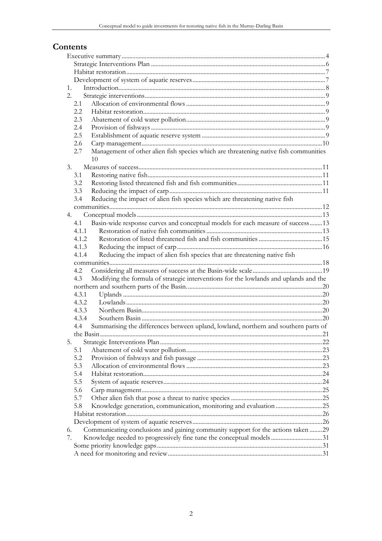# Contents

| 1.               |                                                                                       |  |  |  |
|------------------|---------------------------------------------------------------------------------------|--|--|--|
| 2.               |                                                                                       |  |  |  |
| 2.1              |                                                                                       |  |  |  |
| 2.2              |                                                                                       |  |  |  |
| 2.3              |                                                                                       |  |  |  |
| 2.4              |                                                                                       |  |  |  |
| 2.5              |                                                                                       |  |  |  |
| 2.6              |                                                                                       |  |  |  |
| 2.7              | Management of other alien fish species which are threatening native fish communities  |  |  |  |
|                  | 10                                                                                    |  |  |  |
| $\mathfrak{Z}$ . |                                                                                       |  |  |  |
| 3.1              |                                                                                       |  |  |  |
| 3.2              |                                                                                       |  |  |  |
| 3.3              |                                                                                       |  |  |  |
| 3.4              | Reducing the impact of alien fish species which are threatening native fish           |  |  |  |
|                  |                                                                                       |  |  |  |
| 4.               |                                                                                       |  |  |  |
| 4.1              | Basin-wide response curves and conceptual models for each measure of success 13       |  |  |  |
| 4.1.1            |                                                                                       |  |  |  |
| 4.1.2            |                                                                                       |  |  |  |
| 4.1.3            |                                                                                       |  |  |  |
| 4.1.4            | Reducing the impact of alien fish species that are threatening native fish            |  |  |  |
|                  |                                                                                       |  |  |  |
| 4.2              |                                                                                       |  |  |  |
| 4.3              | Modifying the formula of strategic interventions for the lowlands and uplands and the |  |  |  |
|                  |                                                                                       |  |  |  |
| 4.3.1            |                                                                                       |  |  |  |
| 4.3.2            |                                                                                       |  |  |  |
|                  |                                                                                       |  |  |  |
|                  |                                                                                       |  |  |  |
| 4.3.3            |                                                                                       |  |  |  |
| 4.3.4            |                                                                                       |  |  |  |
| 4.4              | Summarising the differences between upland, lowland, northern and southern parts of   |  |  |  |
|                  |                                                                                       |  |  |  |
| 5.               |                                                                                       |  |  |  |
| 5.1              |                                                                                       |  |  |  |
| 5.2              |                                                                                       |  |  |  |
| 5.3              |                                                                                       |  |  |  |
| 5.4              |                                                                                       |  |  |  |
| 5.5              |                                                                                       |  |  |  |
| 5.6              |                                                                                       |  |  |  |
| 5.7              |                                                                                       |  |  |  |
| 5.8              | Knowledge generation, communication, monitoring and evaluation 25                     |  |  |  |
|                  |                                                                                       |  |  |  |
|                  |                                                                                       |  |  |  |
| 6.               | Communicating conclusions and gaining community support for the actions taken 29      |  |  |  |
| 7.               | Knowledge needed to progressively fine tune the conceptual models31                   |  |  |  |
|                  |                                                                                       |  |  |  |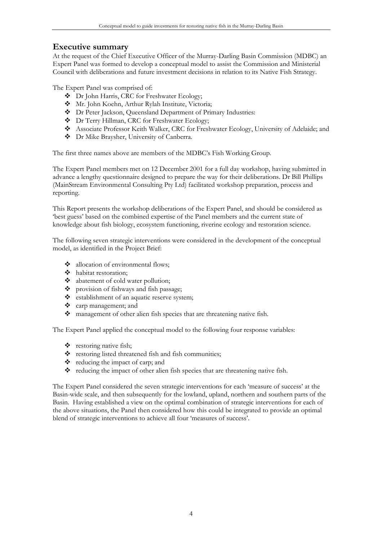# **Executive summary**

At the request of the Chief Executive Officer of the Murray-Darling Basin Commission (MDBC) an Expert Panel was formed to develop a conceptual model to assist the Commission and Ministerial Council with deliberations and future investment decisions in relation to its Native Fish Strategy.

The Expert Panel was comprised of:

- $\bullet$  Dr John Harris, CRC for Freshwater Ecology;
- Mr. John Koehn, Arthur Rylah Institute, Victoria;
- Dr Peter Jackson, Queensland Department of Primary Industries:
- Dr Terry Hillman, CRC for Freshwater Ecology;
- Associate Professor Keith Walker, CRC for Freshwater Ecology, University of Adelaide; and
- $\bullet$  Dr Mike Braysher, University of Canberra.

The first three names above are members of the MDBC's Fish Working Group.

The Expert Panel members met on 12 December 2001 for a full day workshop, having submitted in advance a lengthy questionnaire designed to prepare the way for their deliberations. Dr Bill Phillips (MainStream Environmental Consulting Pty Ltd) facilitated workshop preparation, process and reporting.

This Report presents the workshop deliberations of the Expert Panel, and should be considered as 'best guess' based on the combined expertise of the Panel members and the current state of knowledge about fish biology, ecosystem functioning, riverine ecology and restoration science.

The following seven strategic interventions were considered in the development of the conceptual model, as identified in the Project Brief:

- allocation of environmental flows;
- $\triangleleft$  habitat restoration;
- $\triangleleft$  abatement of cold water pollution;
- $\Leftrightarrow$  provision of fishways and fish passage;
- $\Leftrightarrow$  establishment of an aquatic reserve system;
- carp management; and
- management of other alien fish species that are threatening native fish.

The Expert Panel applied the conceptual model to the following four response variables:

- $\bullet$  restoring native fish;
- \* restoring listed threatened fish and fish communities;
- \* reducing the impact of carp; and
- reducing the impact of other alien fish species that are threatening native fish.

The Expert Panel considered the seven strategic interventions for each 'measure of success' at the Basin-wide scale, and then subsequently for the lowland, upland, northern and southern parts of the Basin. Having established a view on the optimal combination of strategic interventions for each of the above situations, the Panel then considered how this could be integrated to provide an optimal blend of strategic interventions to achieve all four 'measures of success'.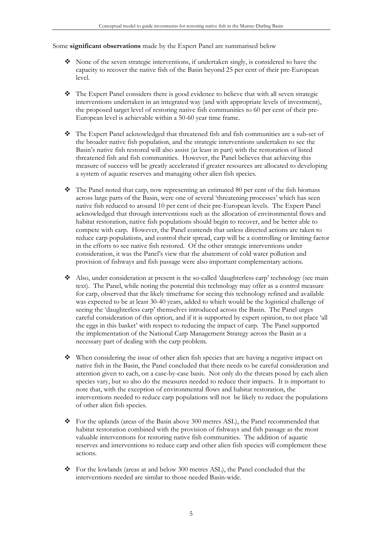Some **significant observations** made by the Expert Panel are summarised below

- None of the seven strategic interventions, if undertaken singly, is considered to have the capacity to recover the native fish of the Basin beyond 25 per cent of their pre-European level.
- The Expert Panel considers there is good evidence to believe that with all seven strategic interventions undertaken in an integrated way (and with appropriate levels of investment), the proposed target level of restoring native fish communities to 60 per cent of their pre-European level is achievable within a 50-60 year time frame.
- The Expert Panel acknowledged that threatened fish and fish communities are a sub-set of the broader native fish population, and the strategic interventions undertaken to see the Basin's native fish restored will also assist (at least in part) with the restoration of listed threatened fish and fish communities. However, the Panel believes that achieving this measure of success will be greatly accelerated if greater resources are allocated to developing a system of aquatic reserves and managing other alien fish species.
- The Panel noted that carp, now representing an estimated 80 per cent of the fish biomass across large parts of the Basin, were one of several 'threatening processes' which has seen native fish reduced to around 10 per cent of their pre-European levels. The Expert Panel acknowledged that through interventions such as the allocation of environmental flows and habitat restoration, native fish populations should begin to recover, and be better able to compete with carp. However, the Panel contends that unless directed actions are taken to reduce carp populations, and control their spread, carp will be a controlling or limiting factor in the efforts to see native fish restored. Of the other strategic interventions under consideration, it was the Panel's view that the abatement of cold water pollution and provision of fishways and fish passage were also important complementary actions.
- Also, under consideration at present is the so-called 'daughterless carp' technology (see main text). The Panel, while noting the potential this technology may offer as a control measure for carp, observed that the likely timeframe for seeing this technology refined and available was expected to be at least 30-40 years, added to which would be the logistical challenge of seeing the 'daughterless carp' themselves introduced across the Basin. The Panel urges careful consideration of this option, and if it is supported by expert opinion, to not place 'all the eggs in this basket' with respect to reducing the impact of carp. The Panel supported the implementation of the National Carp Management Strategy across the Basin as a necessary part of dealing with the carp problem.
- When considering the issue of other alien fish species that are having a negative impact on native fish in the Basin, the Panel concluded that there needs to be careful consideration and attention given to each, on a case-by-case basis. Not only do the threats posed by each alien species vary, but so also do the measures needed to reduce their impacts. It is important to note that, with the exception of environmental flows and habitat restoration, the interventions needed to reduce carp populations will not be likely to reduce the populations of other alien fish species.
- For the uplands (areas of the Basin above 300 metres ASL), the Panel recommended that habitat restoration combined with the provision of fishways and fish passage as the most valuable interventions for restoring native fish communities. The addition of aquatic reserves and interventions to reduce carp and other alien fish species will complement these actions.
- For the lowlands (areas at and below 300 metres ASL), the Panel concluded that the interventions needed are similar to those needed Basin-wide.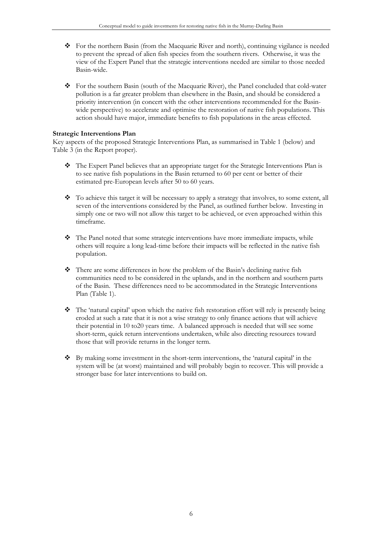- For the northern Basin (from the Macquarie River and north), continuing vigilance is needed to prevent the spread of alien fish species from the southern rivers. Otherwise, it was the view of the Expert Panel that the strategic interventions needed are similar to those needed Basin-wide.
- For the southern Basin (south of the Macquarie River), the Panel concluded that cold-water pollution is a far greater problem than elsewhere in the Basin, and should be considered a priority intervention (in concert with the other interventions recommended for the Basinwide perspective) to accelerate and optimise the restoration of native fish populations. This action should have major, immediate benefits to fish populations in the areas effected.

#### **Strategic Interventions Plan**

Key aspects of the proposed Strategic Interventions Plan, as summarised in Table 1 (below) and Table 3 (in the Report proper).

- The Expert Panel believes that an appropriate target for the Strategic Interventions Plan is to see native fish populations in the Basin returned to 60 per cent or better of their estimated pre-European levels after 50 to 60 years.
- \* To achieve this target it will be necessary to apply a strategy that involves, to some extent, all seven of the interventions considered by the Panel, as outlined further below. Investing in simply one or two will not allow this target to be achieved, or even approached within this timeframe.
- $\bullet$  The Panel noted that some strategic interventions have more immediate impacts, while others will require a long lead-time before their impacts will be reflected in the native fish population.
- $\bullet$  There are some differences in how the problem of the Basin's declining native fish communities need to be considered in the uplands, and in the northern and southern parts of the Basin. These differences need to be accommodated in the Strategic Interventions Plan (Table 1).
- $\bullet$  The 'natural capital' upon which the native fish restoration effort will rely is presently being eroded at such a rate that it is not a wise strategy to only finance actions that will achieve their potential in 10 to20 years time. A balanced approach is needed that will see some short-term, quick return interventions undertaken, while also directing resources toward those that will provide returns in the longer term.
- $\bullet$  By making some investment in the short-term interventions, the 'natural capital' in the system will be (at worst) maintained and will probably begin to recover. This will provide a stronger base for later interventions to build on.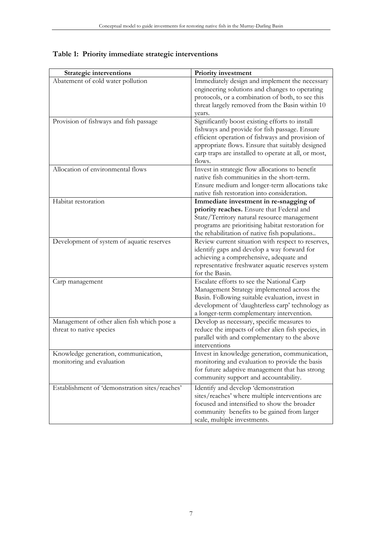| <b>Strategic interventions</b>                 | Priority investment                                  |
|------------------------------------------------|------------------------------------------------------|
| Abatement of cold water pollution              | Immediately design and implement the necessary       |
|                                                | engineering solutions and changes to operating       |
|                                                | protocols, or a combination of both, to see this     |
|                                                | threat largely removed from the Basin within 10      |
|                                                | years.                                               |
| Provision of fishways and fish passage         | Significantly boost existing efforts to install      |
|                                                | fishways and provide for fish passage. Ensure        |
|                                                | efficient operation of fishways and provision of     |
|                                                | appropriate flows. Ensure that suitably designed     |
|                                                | carp traps are installed to operate at all, or most, |
|                                                | flows.                                               |
| Allocation of environmental flows              | Invest in strategic flow allocations to benefit      |
|                                                | native fish communities in the short-term.           |
|                                                | Ensure medium and longer-term allocations take       |
|                                                | native fish restoration into consideration.          |
| Habitat restoration                            | Immediate investment in re-snagging of               |
|                                                | priority reaches. Ensure that Federal and            |
|                                                | State/Territory natural resource management          |
|                                                | programs are prioritising habitat restoration for    |
|                                                | the rehabilitation of native fish populations        |
| Development of system of aquatic reserves      | Review current situation with respect to reserves,   |
|                                                | identify gaps and develop a way forward for          |
|                                                | achieving a comprehensive, adequate and              |
|                                                | representative freshwater aquatic reserves system    |
|                                                | for the Basin.                                       |
| Carp management                                | Escalate efforts to see the National Carp            |
|                                                | Management Strategy implemented across the           |
|                                                | Basin. Following suitable evaluation, invest in      |
|                                                | development of 'daughterless carp' technology as     |
|                                                | a longer-term complementary intervention.            |
| Management of other alien fish which pose a    | Develop as necessary, specific measures to           |
| threat to native species                       | reduce the impacts of other alien fish species, in   |
|                                                | parallel with and complementary to the above         |
|                                                | interventions                                        |
| Knowledge generation, communication,           | Invest in knowledge generation, communication,       |
| monitoring and evaluation                      | monitoring and evaluation to provide the basis       |
|                                                | for future adaptive management that has strong       |
|                                                | community support and accountability.                |
| Establishment of 'demonstration sites/reaches' | Identify and develop 'demonstration                  |
|                                                | sites/reaches' where multiple interventions are      |
|                                                | focused and intensified to show the broader          |
|                                                | community benefits to be gained from larger          |
|                                                | scale, multiple investments.                         |

# **Table 1: Priority immediate strategic interventions**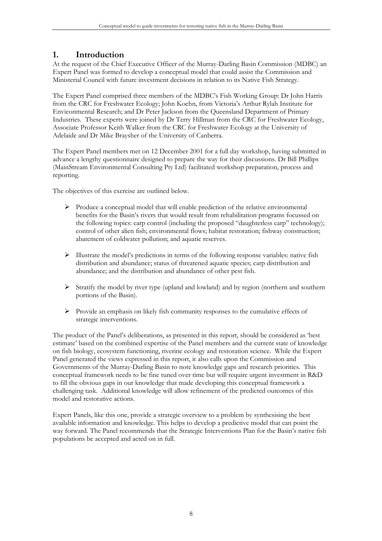# **1. Introduction**

At the request of the Chief Executive Officer of the Murray-Darling Basin Commission (MDBC) an Expert Panel was formed to develop a conceptual model that could assist the Commission and Ministerial Council with future investment decisions in relation to its Native Fish Strategy.

The Expert Panel comprised three members of the MDBC's Fish Working Group: Dr John Harris from the CRC for Freshwater Ecology; John Koehn, from Victoria's Arthur Rylah Institute for Envieonmental Research; and Dr Peter Jackson from the Queensland Department of Primary Industries. These experts were joined by Dr Terry Hillman from the CRC for Freshwater Ecology, Associate Professor Keith Walker from the CRC for Freshwater Ecology at the University of Adelaide and Dr Mike Braysher of the University of Canberra.

The Expert Panel members met on 12 December 2001 for a full day workshop, having submitted in advance a lengthy questionnaire designed to prepare the way for their discussions. Dr Bill Phillips (MainStream Environmental Consulting Pty Ltd) facilitated workshop preparation, process and reporting.

The objectives of this exercise are outlined below.

- ¾ Produce a conceptual model that will enable prediction of the relative environmental benefits for the Basin's rivers that would result from rehabilitation programs focussed on the following topics: carp control (including the proposed "daughterless carp" technology); control of other alien fish; environmental flows; habitat restoration; fishway construction; abatement of coldwater pollution; and aquatic reserves.
- ¾ Illustrate the model's predictions in terms of the following response variables: native fish distribution and abundance; status of threatened aquatic species; carp distribution and abundance; and the distribution and abundance of other pest fish.
- ¾ Stratify the model by river type (upland and lowland) and by region (northern and southern portions of the Basin).
- ¾ Provide an emphasis on likely fish community responses to the cumulative effects of strategic interventions.

The product of the Panel's deliberations, as presented in this report, should be considered as 'best estimate' based on the combined expertise of the Panel members and the current state of knowledge on fish biology, ecosystem functioning, riverine ecology and restoration science. While the Expert Panel generated the views expressed in this report, it also calls upon the Commission and Governments of the Murray-Darling Basin to note knowledge gaps and research priorities. This conceptual framework needs to be fine tuned over time but will require urgent investment in R&D to fill the obvious gaps in our knowledge that made developing this conceptual framework a challenging task. Additional knowledge will allow refinement of the predicted outcomes of this model and restorative actions.

Expert Panels, like this one, provide a strategic overview to a problem by synthesising the best available information and knowledge. This helps to develop a predictive model that can point the way forward. The Panel recommends that the Strategic Interventions Plan for the Basin's native fish populations be accepted and acted on in full.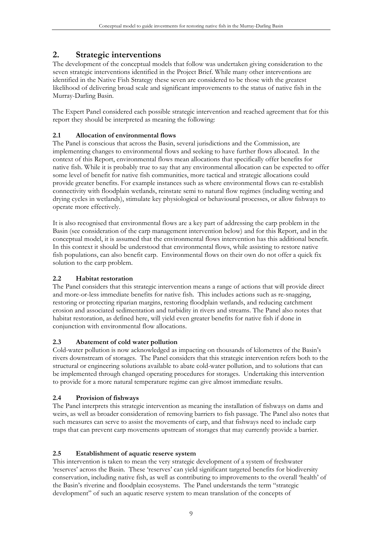# **2. Strategic interventions**

The development of the conceptual models that follow was undertaken giving consideration to the seven strategic interventions identified in the Project Brief. While many other interventions are identified in the Native Fish Strategy these seven are considered to be those with the greatest likelihood of delivering broad scale and significant improvements to the status of native fish in the Murray-Darling Basin.

The Expert Panel considered each possible strategic intervention and reached agreement that for this report they should be interpreted as meaning the following:

# **2.1 Allocation of environmental flows**

The Panel is conscious that across the Basin, several jurisdictions and the Commission, are implementing changes to environmental flows and seeking to have further flows allocated. In the context of this Report, environmental flows mean allocations that specifically offer benefits for native fish. While it is probably true to say that any environmental allocation can be expected to offer some level of benefit for native fish communities, more tactical and strategic allocations could provide greater benefits. For example instances such as where environmental flows can re-establish connectivity with floodplain wetlands, reinstate semi to natural flow regimes (including wetting and drying cycles in wetlands), stimulate key physiological or behavioural processes, or allow fishways to operate more effectively.

It is also recognised that environmental flows are a key part of addressing the carp problem in the Basin (see consideration of the carp management intervention below) and for this Report, and in the conceptual model, it is assumed that the environmental flows intervention has this additional benefit. In this context it should be understood that environmental flows, while assisting to restore native fish populations, can also benefit carp. Environmental flows on their own do not offer a quick fix solution to the carp problem.

## **2.2 Habitat restoration**

The Panel considers that this strategic intervention means a range of actions that will provide direct and more-or-less immediate benefits for native fish. This includes actions such as re-snagging, restoring or protecting riparian margins, restoring floodplain wetlands, and reducing catchment erosion and associated sedimentation and turbidity in rivers and streams. The Panel also notes that habitat restoration, as defined here, will yield even greater benefits for native fish if done in conjunction with environmental flow allocations.

## **2.3 Abatement of cold water pollution**

Cold-water pollution is now acknowledged as impacting on thousands of kilometres of the Basin's rivers downstream of storages. The Panel considers that this strategic intervention refers both to the structural or engineering solutions available to abate cold-water pollution, and to solutions that can be implemented through changed operating procedures for storages. Undertaking this intervention to provide for a more natural temperature regime can give almost immediate results.

## **2.4 Provision of fishways**

The Panel interprets this strategic intervention as meaning the installation of fishways on dams and weirs, as well as broader consideration of removing barriers to fish passage. The Panel also notes that such measures can serve to assist the movements of carp, and that fishways need to include carp traps that can prevent carp movements upstream of storages that may currently provide a barrier.

## **2.5 Establishment of aquatic reserve system**

This intervention is taken to mean the very strategic development of a system of freshwater 'reserves' across the Basin. These 'reserves' can yield significant targeted benefits for biodiversity conservation, including native fish, as well as contributing to improvements to the overall 'health' of the Basin's riverine and floodplain ecosystems. The Panel understands the term "strategic development" of such an aquatic reserve system to mean translation of the concepts of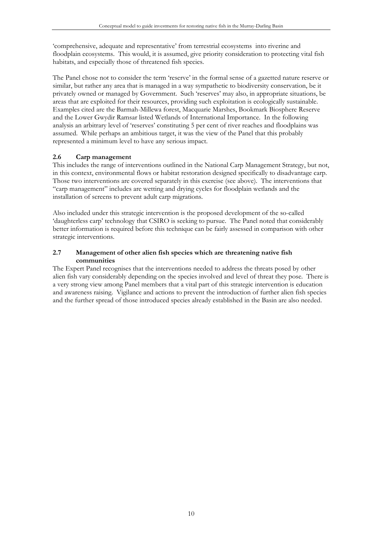'comprehensive, adequate and representative' from terrestrial ecosystems into riverine and floodplain ecosystems. This would, it is assumed, give priority consideration to protecting vital fish habitats, and especially those of threatened fish species.

The Panel chose not to consider the term 'reserve' in the formal sense of a gazetted nature reserve or similar, but rather any area that is managed in a way sympathetic to biodiversity conservation, be it privately owned or managed by Government. Such 'reserves' may also, in appropriate situations, be areas that are exploited for their resources, providing such exploitation is ecologically sustainable. Examples cited are the Barmah-Millewa forest, Macquarie Marshes, Bookmark Biosphere Reserve and the Lower Gwydir Ramsar listed Wetlands of International Importance. In the following analysis an arbitrary level of 'reserves' constituting 5 per cent of river reaches and floodplains was assumed. While perhaps an ambitious target, it was the view of the Panel that this probably represented a minimum level to have any serious impact.

## **2.6 Carp management**

This includes the range of interventions outlined in the National Carp Management Strategy, but not, in this context, environmental flows or habitat restoration designed specifically to disadvantage carp. Those two interventions are covered separately in this exercise (see above). The interventions that "carp management" includes are wetting and drying cycles for floodplain wetlands and the installation of screens to prevent adult carp migrations.

Also included under this strategic intervention is the proposed development of the so-called 'daughterless carp' technology that CSIRO is seeking to pursue. The Panel noted that considerably better information is required before this technique can be fairly assessed in comparison with other strategic interventions.

#### **2.7 Management of other alien fish species which are threatening native fish communities**

The Expert Panel recognises that the interventions needed to address the threats posed by other alien fish vary considerably depending on the species involved and level of threat they pose. There is a very strong view among Panel members that a vital part of this strategic intervention is education and awareness raising. Vigilance and actions to prevent the introduction of further alien fish species and the further spread of those introduced species already established in the Basin are also needed.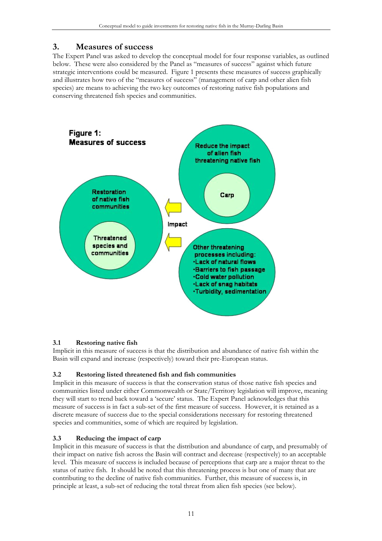# **3. Measures of success**

The Expert Panel was asked to develop the conceptual model for four response variables, as outlined below. These were also considered by the Panel as "measures of success" against which future strategic interventions could be measured. Figure 1 presents these measures of success graphically and illustrates how two of the "measures of success" (management of carp and other alien fish species) are means to achieving the two key outcomes of restoring native fish populations and conserving threatened fish species and communities.



## **3.1 Restoring native fish**

Implicit in this measure of success is that the distribution and abundance of native fish within the Basin will expand and increase (respectively) toward their pre-European status.

# **3.2 Restoring listed threatened fish and fish communities**

Implicit in this measure of success is that the conservation status of those native fish species and communities listed under either Commonwealth or State/Territory legislation will improve, meaning they will start to trend back toward a 'secure' status. The Expert Panel acknowledges that this measure of success is in fact a sub-set of the first measure of success. However, it is retained as a discrete measure of success due to the special considerations necessary for restoring threatened species and communities, some of which are required by legislation.

## **3.3 Reducing the impact of carp**

Implicit in this measure of success is that the distribution and abundance of carp, and presumably of their impact on native fish across the Basin will contract and decrease (respectively) to an acceptable level. This measure of success is included because of perceptions that carp are a major threat to the status of native fish. It should be noted that this threatening process is but one of many that are contributing to the decline of native fish communities. Further, this measure of success is, in principle at least, a sub-set of reducing the total threat from alien fish species (see below).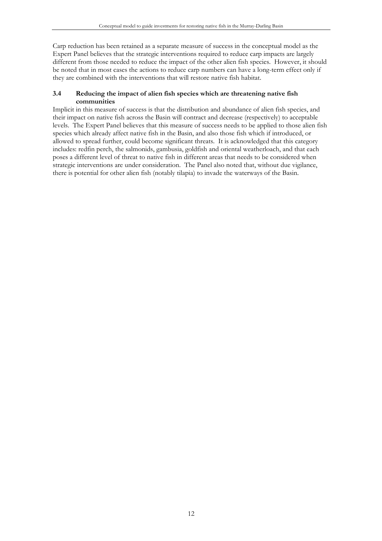Carp reduction has been retained as a separate measure of success in the conceptual model as the Expert Panel believes that the strategic interventions required to reduce carp impacts are largely different from those needed to reduce the impact of the other alien fish species. However, it should be noted that in most cases the actions to reduce carp numbers can have a long-term effect only if they are combined with the interventions that will restore native fish habitat.

#### **3.4 Reducing the impact of alien fish species which are threatening native fish communities**

Implicit in this measure of success is that the distribution and abundance of alien fish species, and their impact on native fish across the Basin will contract and decrease (respectively) to acceptable levels. The Expert Panel believes that this measure of success needs to be applied to those alien fish species which already affect native fish in the Basin, and also those fish which if introduced, or allowed to spread further, could become significant threats. It is acknowledged that this category includes: redfin perch, the salmonids, gambusia, goldfish and oriental weatherloach, and that each poses a different level of threat to native fish in different areas that needs to be considered when strategic interventions are under consideration. The Panel also noted that, without due vigilance, there is potential for other alien fish (notably tilapia) to invade the waterways of the Basin.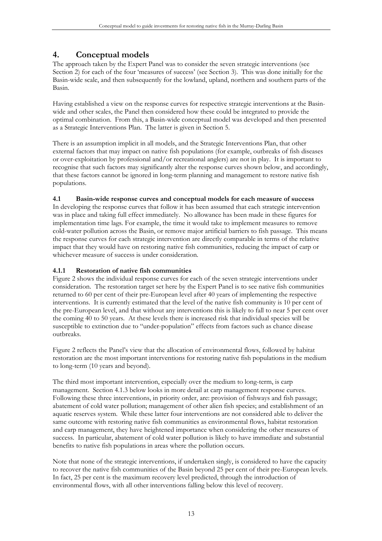# **4. Conceptual models**

The approach taken by the Expert Panel was to consider the seven strategic interventions (see Section 2) for each of the four 'measures of success' (see Section 3). This was done initially for the Basin-wide scale, and then subsequently for the lowland, upland, northern and southern parts of the Basin.

Having established a view on the response curves for respective strategic interventions at the Basinwide and other scales, the Panel then considered how these could be integrated to provide the optimal combination. From this, a Basin-wide conceptual model was developed and then presented as a Strategic Interventions Plan. The latter is given in Section 5.

There is an assumption implicit in all models, and the Strategic Interventions Plan, that other external factors that may impact on native fish populations (for example, outbreaks of fish diseases or over-exploitation by professional and/or recreational anglers) are not in play. It is important to recognise that such factors may significantly alter the response curves shown below, and accordingly, that these factors cannot be ignored in long-term planning and management to restore native fish populations.

# **4.1 Basin-wide response curves and conceptual models for each measure of success**

In developing the response curves that follow it has been assumed that each strategic intervention was in place and taking full effect immediately. No allowance has been made in these figures for implementation time lags. For example, the time it would take to implement measures to remove cold-water pollution across the Basin, or remove major artificial barriers to fish passage. This means the response curves for each strategic intervention are directly comparable in terms of the relative impact that they would have on restoring native fish communities, reducing the impact of carp or whichever measure of success is under consideration.

## **4.1.1 Restoration of native fish communities**

Figure 2 shows the individual response curves for each of the seven strategic interventions under consideration. The restoration target set here by the Expert Panel is to see native fish communities returned to 60 per cent of their pre-European level after 40 years of implementing the respective interventions. It is currently estimated that the level of the native fish community is 10 per cent of the pre-European level, and that without any interventions this is likely to fall to near 5 per cent over the coming 40 to 50 years. At these levels there is increased risk that individual species will be susceptible to extinction due to "under-population" effects from factors such as chance disease outbreaks.

Figure 2 reflects the Panel's view that the allocation of environmental flows, followed by habitat restoration are the most important interventions for restoring native fish populations in the medium to long-term (10 years and beyond).

The third most important intervention, especially over the medium to long-term, is carp management. Section 4.1.3 below looks in more detail at carp management response curves. Following these three interventions, in priority order, are: provision of fishways and fish passage; abatement of cold water pollution; management of other alien fish species; and establishment of an aquatic reserves system. While these latter four interventions are not considered able to deliver the same outcome with restoring native fish communities as environmental flows, habitat restoration and carp management, they have heightened importance when considering the other measures of success. In particular, abatement of cold water pollution is likely to have immediate and substantial benefits to native fish populations in areas where the pollution occurs.

Note that none of the strategic interventions, if undertaken singly, is considered to have the capacity to recover the native fish communities of the Basin beyond 25 per cent of their pre-European levels. In fact, 25 per cent is the maximum recovery level predicted, through the introduction of environmental flows, with all other interventions falling below this level of recovery.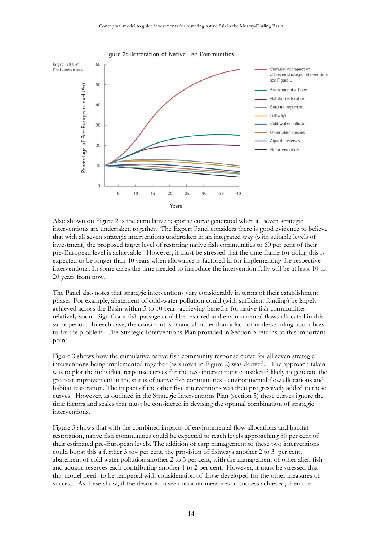

Also shown on Figure 2 is the cumulative response curve generated when all seven strategic interventions are undertaken together. The Expert Panel considers there is good evidence to believe that with all seven strategic interventions undertaken in an integrated way (with suitable levels of investment) the proposed target level of restoring native fish communities to 60 per cent of their pre-European level is achievable. However, it must be stressed that the time frame for doing this is expected to be longer than 40 years when allowance is factored in for implementing the respective interventions. In some cases the time needed to introduce the intervention fully will be at least 10 to 20 years from now.

The Panel also notes that strategic interventions vary considerably in terms of their establishment phase. For example, abatement of cold-water pollution could (with sufficient funding) be largely achieved across the Basin within 5 to 10 years achieving benefits for native fish communities relatively soon. Significant fish passage could be restored and environmental flows allocated in this same period. In each case, the constraint is financial rather than a lack of understanding about how to fix the problem. The Strategic Interventions Plan provided in Section 5 returns to this important point.

Figure 3 shows how the cumulative native fish community response curve for all seven strategic interventions being implemented together (as shown in Figure 2) was derived. The approach taken was to plot the individual response curves for the two interventions considered likely to generate the greatest improvement in the status of native fish communities - environmental flow allocations and habitat restoration. The impact of the other five interventions was then progressively added to these curves. However, as outlined in the Strategic Interventions Plan (section 5) these curves ignore the time factors and scales that must be considered in devising the optimal combination of strategic interventions.

Figure 3 shows that with the combined impacts of environmental flow allocations and habitat restoration, native fish communities could be expected to reach levels approaching 50 per cent of their estimated pre-European levels. The addition of carp management to these two interventions could boost this a further 3 to4 per cent, the provision of fishways another 2 to 3 per cent, abatement of cold water pollution another 2 to 3 per cent, with the management of other alien fish and aquatic reserves each contributing another 1 to 2 per cent. However, it must be stressed that this model needs to be tempered with consideration of those developed for the other measures of success. As these show, if the desire is to see the other measures of success achieved, then the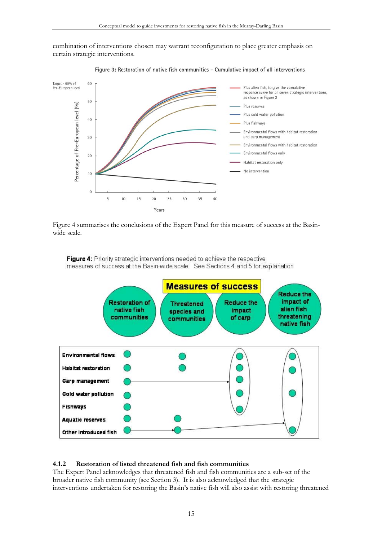combination of interventions chosen may warrant reconfiguration to place greater emphasis on certain strategic interventions.



Figure 3: Restoration of native fish communities - Cumulative impact of all interventions

Figure 4 summarises the conclusions of the Expert Panel for this measure of success at the Basinwide scale.

Figure 4: Priority strategic interventions needed to achieve the respective measures of success at the Basin-wide scale. See Sections 4 and 5 for explanation



#### **4.1.2 Restoration of listed threatened fish and fish communities**

The Expert Panel acknowledges that threatened fish and fish communities are a sub-set of the broader native fish community (see Section 3). It is also acknowledged that the strategic interventions undertaken for restoring the Basin's native fish will also assist with restoring threatened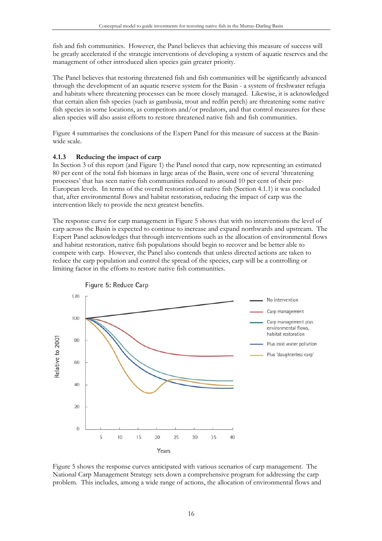fish and fish communities. However, the Panel believes that achieving this measure of success will be greatly accelerated if the strategic interventions of developing a system of aquatic reserves and the management of other introduced alien species gain greater priority.

The Panel believes that restoring threatened fish and fish communities will be significantly advanced through the development of an aquatic reserve system for the Basin - a system of freshwater refugia and habitats where threatening processes can be more closely managed. Likewise, it is acknowledged that certain alien fish species (such as gambusia, trout and redfin perch) are threatening some native fish species in some locations, as competitors and/or predators, and that control measures for these alien species will also assist efforts to restore threatened native fish and fish communities.

Figure 4 summarises the conclusions of the Expert Panel for this measure of success at the Basinwide scale.

## **4.1.3 Reducing the impact of carp**

In Section 3 of this report (and Figure 1) the Panel noted that carp, now representing an estimated 80 per cent of the total fish biomass in large areas of the Basin, were one of several 'threatening processes' that has seen native fish communities reduced to around 10 per cent of their pre-European levels. In terms of the overall restoration of native fish (Section 4.1.1) it was concluded that, after environmental flows and habitat restoration, reducing the impact of carp was the intervention likely to provide the next greatest benefits.

The response curve for carp management in Figure 5 shows that with no interventions the level of carp across the Basin is expected to continue to increase and expand northwards and upstream. The Expert Panel acknowledges that through interventions such as the allocation of environmental flows and habitat restoration, native fish populations should begin to recover and be better able to compete with carp. However, the Panel also contends that unless directed actions are taken to reduce the carp population and control the spread of the species, carp will be a controlling or limiting factor in the efforts to restore native fish communities.



Figure 5 shows the response curves anticipated with various scenarios of carp management. The National Carp Management Strategy sets down a comprehensive program for addressing the carp problem. This includes, among a wide range of actions, the allocation of environmental flows and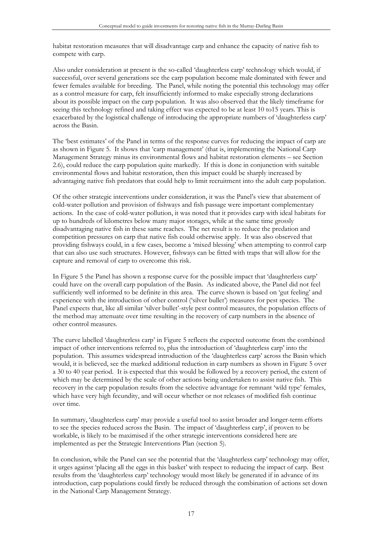habitat restoration measures that will disadvantage carp and enhance the capacity of native fish to compete with carp.

Also under consideration at present is the so-called 'daughterless carp' technology which would, if successful, over several generations see the carp population become male dominated with fewer and fewer females available for breeding. The Panel, while noting the potential this technology may offer as a control measure for carp, felt insufficiently informed to make especially strong declarations about its possible impact on the carp population. It was also observed that the likely timeframe for seeing this technology refined and taking effect was expected to be at least 10 to15 years. This is exacerbated by the logistical challenge of introducing the appropriate numbers of 'daughterless carp' across the Basin.

The 'best estimates' of the Panel in terms of the response curves for reducing the impact of carp are as shown in Figure 5. It shows that 'carp management' (that is, implementing the National Carp Management Strategy minus its environmental flows and habitat restoration elements – see Section 2.6), could reduce the carp population quite markedly. If this is done in conjunction with suitable environmental flows and habitat restoration, then this impact could be sharply increased by advantaging native fish predators that could help to limit recruitment into the adult carp population.

Of the other strategic interventions under consideration, it was the Panel's view that abatement of cold-water pollution and provision of fishways and fish passage were important complementary actions. In the case of cold-water pollution, it was noted that it provides carp with ideal habitats for up to hundreds of kilometres below many major storages, while at the same time grossly disadvantaging native fish in these same reaches. The net result is to reduce the predation and competition pressures on carp that native fish could otherwise apply. It was also observed that providing fishways could, in a few cases, become a 'mixed blessing' when attempting to control carp that can also use such structures. However, fishways can be fitted with traps that will allow for the capture and removal of carp to overcome this risk.

In Figure 5 the Panel has shown a response curve for the possible impact that 'daughterless carp' could have on the overall carp population of the Basin. As indicated above, the Panel did not feel sufficiently well informed to be definite in this area. The curve shown is based on 'gut feeling' and experience with the introduction of other control ('silver bullet') measures for pest species. The Panel expects that, like all similar 'silver bullet'-style pest control measures, the population effects of the method may attenuate over time resulting in the recovery of carp numbers in the absence of other control measures.

The curve labelled 'daughterless carp' in Figure 5 reflects the expected outcome from the combined impact of other interventions referred to, plus the introduction of 'daughterless carp' into the population. This assumes widespread introduction of the 'daughterless carp' across the Basin which would, it is believed, see the marked additional reduction in carp numbers as shown in Figure 5 over a 30 to 40 year period. It is expected that this would be followed by a recovery period, the extent of which may be determined by the scale of other actions being undertaken to assist native fish. This recovery in the carp population results from the selective advantage for remnant 'wild type' females, which have very high fecundity, and will occur whether or not releases of modified fish continue over time.

In summary, 'daughterless carp' may provide a useful tool to assist broader and longer-term efforts to see the species reduced across the Basin. The impact of 'daughterless carp', if proven to be workable, is likely to be maximised if the other strategic interventions considered here are implemented as per the Strategic Interventions Plan (section 5).

In conclusion, while the Panel can see the potential that the 'daughterless carp' technology may offer, it urges against 'placing all the eggs in this basket' with respect to reducing the impact of carp. Best results from the 'daughterless carp' technology would most likely be generated if in advance of its introduction, carp populations could firstly be reduced through the combination of actions set down in the National Carp Management Strategy.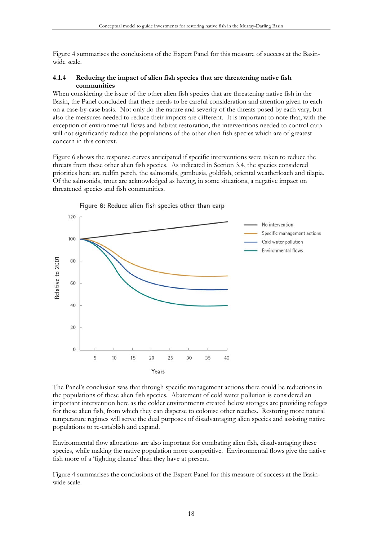Figure 4 summarises the conclusions of the Expert Panel for this measure of success at the Basinwide scale.

#### **4.1.4 Reducing the impact of alien fish species that are threatening native fish communities**

When considering the issue of the other alien fish species that are threatening native fish in the Basin, the Panel concluded that there needs to be careful consideration and attention given to each on a case-by-case basis. Not only do the nature and severity of the threats posed by each vary, but also the measures needed to reduce their impacts are different. It is important to note that, with the exception of environmental flows and habitat restoration, the interventions needed to control carp will not significantly reduce the populations of the other alien fish species which are of greatest concern in this context.

Figure 6 shows the response curves anticipated if specific interventions were taken to reduce the threats from these other alien fish species. As indicated in Section 3.4, the species considered priorities here are redfin perch, the salmonids, gambusia, goldfish, oriental weatherloach and tilapia. Of the salmonids, trout are acknowledged as having, in some situations, a negative impact on threatened species and fish communities.



Figure 6: Reduce alien fish species other than carp

The Panel's conclusion was that through specific management actions there could be reductions in the populations of these alien fish species. Abatement of cold water pollution is considered an important intervention here as the colder environments created below storages are providing refuges for these alien fish, from which they can disperse to colonise other reaches. Restoring more natural temperature regimes will serve the dual purposes of disadvantaging alien species and assisting native populations to re-establish and expand.

Environmental flow allocations are also important for combating alien fish, disadvantaging these species, while making the native population more competitive. Environmental flows give the native fish more of a 'fighting chance' than they have at present.

Figure 4 summarises the conclusions of the Expert Panel for this measure of success at the Basinwide scale.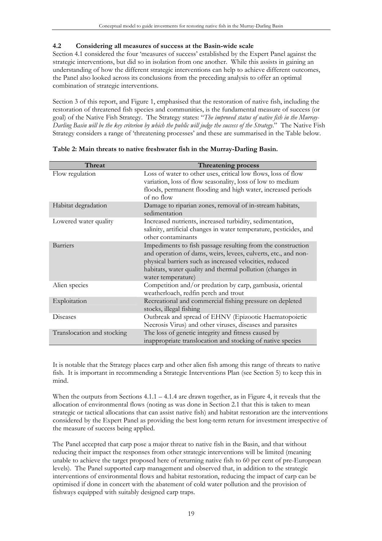# **4.2 Considering all measures of success at the Basin-wide scale**

Section 4.1 considered the four 'measures of success' established by the Expert Panel against the strategic interventions, but did so in isolation from one another. While this assists in gaining an understanding of how the different strategic interventions can help to achieve different outcomes, the Panel also looked across its conclusions from the preceding analysis to offer an optimal combination of strategic interventions.

Section 3 of this report, and Figure 1, emphasised that the restoration of native fish, including the restoration of threatened fish species and communities, is the fundamental measure of success (or goal) of the Native Fish Strategy. The Strategy states: "*The improved status of native fish in the Murray-Darling Basin will be the key criterion by which the public will judge the success of the Strategy*." The Native Fish Strategy considers a range of 'threatening processes' and these are summarised in the Table below.

| <b>Threat</b>              | <b>Threatening process</b>                                                                                                                                                                                                                                                  |
|----------------------------|-----------------------------------------------------------------------------------------------------------------------------------------------------------------------------------------------------------------------------------------------------------------------------|
| Flow regulation            | Loss of water to other uses, critical low flows, loss of flow<br>variation, loss of flow seasonality, loss of low to medium<br>floods, permanent flooding and high water, increased periods<br>of no flow                                                                   |
| Habitat degradation        | Damage to riparian zones, removal of in-stream habitats,<br>sedimentation                                                                                                                                                                                                   |
| Lowered water quality      | Increased nutrients, increased turbidity, sedimentation,<br>salinity, artificial changes in water temperature, pesticides, and<br>other contaminants                                                                                                                        |
| <b>Barriers</b>            | Impediments to fish passage resulting from the construction<br>and operation of dams, weirs, levees, culverts, etc., and non-<br>physical barriers such as increased velocities, reduced<br>habitats, water quality and thermal pollution (changes in<br>water temperature) |
| Alien species              | Competition and/or predation by carp, gambusia, oriental<br>weatherloach, redfin perch and trout                                                                                                                                                                            |
| Exploitation               | Recreational and commercial fishing pressure on depleted<br>stocks, illegal fishing                                                                                                                                                                                         |
| Diseases                   | Outbreak and spread of EHNV (Epizootic Haematopoietic<br>Necrosis Virus) and other viruses, diseases and parasites                                                                                                                                                          |
| Translocation and stocking | The loss of genetic integrity and fitness caused by<br>inappropriate translocation and stocking of native species                                                                                                                                                           |

| Table 2: Main threats to native freshwater fish in the Murray-Darling Basin. |
|------------------------------------------------------------------------------|
|------------------------------------------------------------------------------|

It is notable that the Strategy places carp and other alien fish among this range of threats to native fish. It is important in recommending a Strategic Interventions Plan (see Section 5) to keep this in mind.

When the outputs from Sections 4.1.1 – 4.1.4 are drawn together, as in Figure 4, it reveals that the allocation of environmental flows (noting as was done in Section 2.1 that this is taken to mean strategic or tactical allocations that can assist native fish) and habitat restoration are the interventions considered by the Expert Panel as providing the best long-term return for investment irrespective of the measure of success being applied.

The Panel accepted that carp pose a major threat to native fish in the Basin, and that without reducing their impact the responses from other strategic interventions will be limited (meaning unable to achieve the target proposed here of returning native fish to 60 per cent of pre-European levels). The Panel supported carp management and observed that, in addition to the strategic interventions of environmental flows and habitat restoration, reducing the impact of carp can be optimised if done in concert with the abatement of cold water pollution and the provision of fishways equipped with suitably designed carp traps.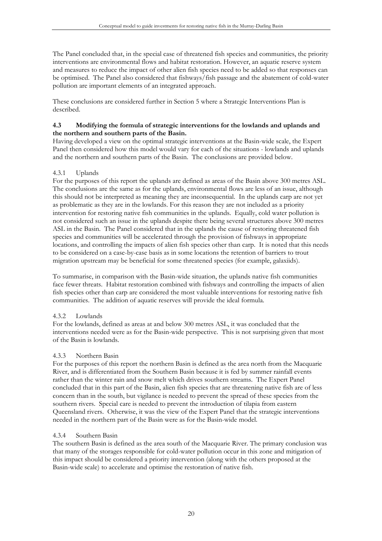The Panel concluded that, in the special case of threatened fish species and communities, the priority interventions are environmental flows and habitat restoration. However, an aquatic reserve system and measures to reduce the impact of other alien fish species need to be added so that responses can be optimised. The Panel also considered that fishways/fish passage and the abatement of cold-water pollution are important elements of an integrated approach.

These conclusions are considered further in Section 5 where a Strategic Interventions Plan is described.

#### **4.3 Modifying the formula of strategic interventions for the lowlands and uplands and the northern and southern parts of the Basin.**

Having developed a view on the optimal strategic interventions at the Basin-wide scale, the Expert Panel then considered how this model would vary for each of the situations - lowlands and uplands and the northern and southern parts of the Basin. The conclusions are provided below.

## 4.3.1 Uplands

For the purposes of this report the uplands are defined as areas of the Basin above 300 metres ASL. The conclusions are the same as for the uplands, environmental flows are less of an issue, although this should not be interpreted as meaning they are inconsequential. In the uplands carp are not yet as problematic as they are in the lowlands. For this reason they are not included as a priority intervention for restoring native fish communities in the uplands. Equally, cold water pollution is not considered such an issue in the uplands despite there being several structures above 300 metres ASL in the Basin. The Panel considered that in the uplands the cause of restoring threatened fish species and communities will be accelerated through the provision of fishways in appropriate locations, and controlling the impacts of alien fish species other than carp. It is noted that this needs to be considered on a case-by-case basis as in some locations the retention of barriers to trout migration upstream may be beneficial for some threatened species (for example, galaxiids).

To summarise, in comparison with the Basin-wide situation, the uplands native fish communities face fewer threats. Habitat restoration combined with fishways and controlling the impacts of alien fish species other than carp are considered the most valuable interventions for restoring native fish communities. The addition of aquatic reserves will provide the ideal formula.

## 4.3.2 Lowlands

For the lowlands, defined as areas at and below 300 metres ASL, it was concluded that the interventions needed were as for the Basin-wide perspective. This is not surprising given that most of the Basin is lowlands.

## 4.3.3 Northern Basin

For the purposes of this report the northern Basin is defined as the area north from the Macquarie River, and is differentiated from the Southern Basin because it is fed by summer rainfall events rather than the winter rain and snow melt which drives southern streams. The Expert Panel concluded that in this part of the Basin, alien fish species that are threatening native fish are of less concern than in the south, but vigilance is needed to prevent the spread of these species from the southern rivers. Special care is needed to prevent the introduction of tilapia from eastern Queensland rivers. Otherwise, it was the view of the Expert Panel that the strategic interventions needed in the northern part of the Basin were as for the Basin-wide model.

## 4.3.4 Southern Basin

The southern Basin is defined as the area south of the Macquarie River. The primary conclusion was that many of the storages responsible for cold-water pollution occur in this zone and mitigation of this impact should be considered a priority intervention (along with the others proposed at the Basin-wide scale) to accelerate and optimise the restoration of native fish.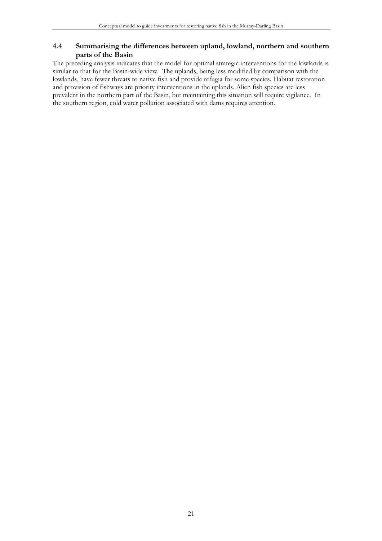## **4.4 Summarising the differences between upland, lowland, northern and southern parts of the Basin**

The preceding analysis indicates that the model for optimal strategic interventions for the lowlands is similar to that for the Basin-wide view. The uplands, being less modified by comparison with the lowlands, have fewer threats to native fish and provide refugia for some species. Habitat restoration and provision of fishways are priority interventions in the uplands. Alien fish species are less prevalent in the northern part of the Basin, but maintaining this situation will require vigilance. In the southern region, cold water pollution associated with dams requires attention.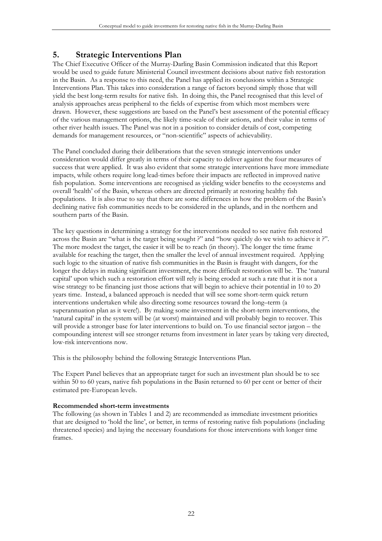# **5. Strategic Interventions Plan**

The Chief Executive Officer of the Murray-Darling Basin Commission indicated that this Report would be used to guide future Ministerial Council investment decisions about native fish restoration in the Basin. As a response to this need, the Panel has applied its conclusions within a Strategic Interventions Plan. This takes into consideration a range of factors beyond simply those that will yield the best long-term results for native fish. In doing this, the Panel recognised that this level of analysis approaches areas peripheral to the fields of expertise from which most members were drawn. However, these suggestions are based on the Panel's best assessment of the potential efficacy of the various management options, the likely time-scale of their actions, and their value in terms of other river health issues. The Panel was not in a position to consider details of cost, competing demands for management resources, or "non-scientific" aspects of achievability.

The Panel concluded during their deliberations that the seven strategic interventions under consideration would differ greatly in terms of their capacity to deliver against the four measures of success that were applied. It was also evident that some strategic interventions have more immediate impacts, while others require long lead-times before their impacts are reflected in improved native fish population. Some interventions are recognised as yielding wider benefits to the ecosystems and overall 'health' of the Basin, whereas others are directed primarily at restoring healthy fish populations. It is also true to say that there are some differences in how the problem of the Basin's declining native fish communities needs to be considered in the uplands, and in the northern and southern parts of the Basin.

The key questions in determining a strategy for the interventions needed to see native fish restored across the Basin are "what is the target being sought ?" and "how quickly do we wish to achieve it ?". The more modest the target, the easier it will be to reach (in theory). The longer the time frame available for reaching the target, then the smaller the level of annual investment required. Applying such logic to the situation of native fish communities in the Basin is fraught with dangers, for the longer the delays in making significant investment, the more difficult restoration will be. The 'natural capital' upon which such a restoration effort will rely is being eroded at such a rate that it is not a wise strategy to be financing just those actions that will begin to achieve their potential in 10 to 20 years time. Instead, a balanced approach is needed that will see some short-term quick return interventions undertaken while also directing some resources toward the long–term (a superannuation plan as it were!). By making some investment in the short-term interventions, the 'natural capital' in the system will be (at worst) maintained and will probably begin to recover. This will provide a stronger base for later interventions to build on. To use financial sector jargon – the compounding interest will see stronger returns from investment in later years by taking very directed, low-risk interventions now.

This is the philosophy behind the following Strategic Interventions Plan.

The Expert Panel believes that an appropriate target for such an investment plan should be to see within 50 to 60 years, native fish populations in the Basin returned to 60 per cent or better of their estimated pre-European levels.

## **Recommended short-term investments**

The following (as shown in Tables 1 and 2) are recommended as immediate investment priorities that are designed to 'hold the line', or better, in terms of restoring native fish populations (including threatened species) and laying the necessary foundations for those interventions with longer time frames.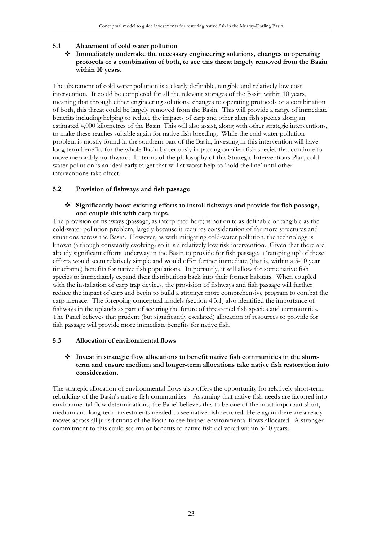## **5.1 Abatement of cold water pollution**

#### **Immediately undertake the necessary engineering solutions, changes to operating protocols or a combination of both, to see this threat largely removed from the Basin within 10 years.**

The abatement of cold water pollution is a clearly definable, tangible and relatively low cost intervention. It could be completed for all the relevant storages of the Basin within 10 years, meaning that through either engineering solutions, changes to operating protocols or a combination of both, this threat could be largely removed from the Basin. This will provide a range of immediate benefits including helping to reduce the impacts of carp and other alien fish species along an estimated 4,000 kilometres of the Basin. This will also assist, along with other strategic interventions, to make these reaches suitable again for native fish breeding. While the cold water pollution problem is mostly found in the southern part of the Basin, investing in this intervention will have long term benefits for the whole Basin by seriously impacting on alien fish species that continue to move inexorably northward. In terms of the philosophy of this Strategic Interventions Plan, cold water pollution is an ideal early target that will at worst help to 'hold the line' until other interventions take effect.

#### **5.2 Provision of fishways and fish passage**

#### **Significantly boost existing efforts to install fishways and provide for fish passage, and couple this with carp traps.**

The provision of fishways (passage, as interpreted here) is not quite as definable or tangible as the cold-water pollution problem, largely because it requires consideration of far more structures and situations across the Basin. However, as with mitigating cold-water pollution, the technology is known (although constantly evolving) so it is a relatively low risk intervention. Given that there are already significant efforts underway in the Basin to provide for fish passage, a 'ramping up' of these efforts would seem relatively simple and would offer further immediate (that is, within a 5-10 year timeframe) benefits for native fish populations. Importantly, it will allow for some native fish species to immediately expand their distributions back into their former habitats. When coupled with the installation of carp trap devices, the provision of fishways and fish passage will further reduce the impact of carp and begin to build a stronger more comprehensive program to combat the carp menace. The foregoing conceptual models (section 4.3.1) also identified the importance of fishways in the uplands as part of securing the future of threatened fish species and communities. The Panel believes that prudent (but significantly escalated) allocation of resources to provide for fish passage will provide more immediate benefits for native fish.

#### **5.3 Allocation of environmental flows**

#### **Invest in strategic flow allocations to benefit native fish communities in the shortterm and ensure medium and longer-term allocations take native fish restoration into consideration.**

The strategic allocation of environmental flows also offers the opportunity for relatively short-term rebuilding of the Basin's native fish communities. Assuming that native fish needs are factored into environmental flow determinations, the Panel believes this to be one of the most important short, medium and long-term investments needed to see native fish restored. Here again there are already moves across all jurisdictions of the Basin to see further environmental flows allocated. A stronger commitment to this could see major benefits to native fish delivered within 5-10 years.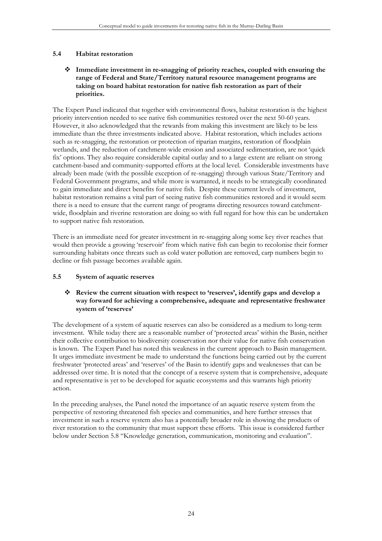## **5.4 Habitat restoration**

#### **Immediate investment in re-snagging of priority reaches, coupled with ensuring the range of Federal and State/Territory natural resource management programs are taking on board habitat restoration for native fish restoration as part of their priorities.**

The Expert Panel indicated that together with environmental flows, habitat restoration is the highest priority intervention needed to see native fish communities restored over the next 50-60 years. However, it also acknowledged that the rewards from making this investment are likely to be less immediate than the three investments indicated above. Habitat restoration, which includes actions such as re-snagging, the restoration or protection of riparian margins, restoration of floodplain wetlands, and the reduction of catchment-wide erosion and associated sedimentation, are not 'quick fix' options. They also require considerable capital outlay and to a large extent are reliant on strong catchment-based and community-supported efforts at the local level. Considerable investments have already been made (with the possible exception of re-snagging) through various State/Territory and Federal Government programs, and while more is warranted, it needs to be strategically coordinated to gain immediate and direct benefits for native fish. Despite these current levels of investment, habitat restoration remains a vital part of seeing native fish communities restored and it would seem there is a need to ensure that the current range of programs directing resources toward catchmentwide, floodplain and riverine restoration are doing so with full regard for how this can be undertaken to support native fish restoration.

There is an immediate need for greater investment in re-snagging along some key river reaches that would then provide a growing 'reservoir' from which native fish can begin to recolonise their former surrounding habitats once threats such as cold water pollution are removed, carp numbers begin to decline or fish passage becomes available again.

## **5.5 System of aquatic reserves**

#### **Review the current situation with respect to 'reserves', identify gaps and develop a way forward for achieving a comprehensive, adequate and representative freshwater system of 'reserves'**

The development of a system of aquatic reserves can also be considered as a medium to long-term investment. While today there are a reasonable number of 'protected areas' within the Basin, neither their collective contribution to biodiversity conservation nor their value for native fish conservation is known. The Expert Panel has noted this weakness in the current approach to Basin management. It urges immediate investment be made to understand the functions being carried out by the current freshwater 'protected areas' and 'reserves' of the Basin to identify gaps and weaknesses that can be addressed over time. It is noted that the concept of a reserve system that is comprehensive, adequate and representative is yet to be developed for aquatic ecosystems and this warrants high priority action.

In the preceding analyses, the Panel noted the importance of an aquatic reserve system from the perspective of restoring threatened fish species and communities, and here further stresses that investment in such a reserve system also has a potentially broader role in showing the products of river restoration to the community that must support these efforts. This issue is considered further below under Section 5.8 "Knowledge generation, communication, monitoring and evaluation".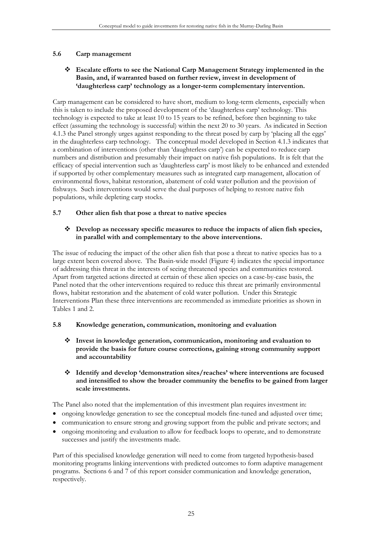## **5.6 Carp management**

#### **Escalate efforts to see the National Carp Management Strategy implemented in the Basin, and, if warranted based on further review, invest in development of 'daughterless carp' technology as a longer-term complementary intervention.**

Carp management can be considered to have short, medium to long-term elements, especially when this is taken to include the proposed development of the 'daughterless carp' technology. This technology is expected to take at least 10 to 15 years to be refined, before then beginning to take effect (assuming the technology is successful) within the next 20 to 30 years. As indicated in Section 4.1.3 the Panel strongly urges against responding to the threat posed by carp by 'placing all the eggs' in the daughterless carp technology. The conceptual model developed in Section 4.1.3 indicates that a combination of interventions (other than 'daughterless carp') can be expected to reduce carp numbers and distribution and presumably their impact on native fish populations. It is felt that the efficacy of special intervention such as 'daughterless carp' is most likely to be enhanced and extended if supported by other complementary measures such as integrated carp management, allocation of environmental flows, habitat restoration, abatement of cold water pollution and the provision of fishways. Such interventions would serve the dual purposes of helping to restore native fish populations, while depleting carp stocks.

## **5.7 Other alien fish that pose a threat to native species**

## **Develop as necessary specific measures to reduce the impacts of alien fish species, in parallel with and complementary to the above interventions.**

The issue of reducing the impact of the other alien fish that pose a threat to native species has to a large extent been covered above. The Basin-wide model (Figure 4) indicates the special importance of addressing this threat in the interests of seeing threatened species and communities restored. Apart from targeted actions directed at certain of these alien species on a case-by-case basis, the Panel noted that the other interventions required to reduce this threat are primarily environmental flows, habitat restoration and the abatement of cold water pollution. Under this Strategic Interventions Plan these three interventions are recommended as immediate priorities as shown in Tables 1 and 2.

## **5.8 Knowledge generation, communication, monitoring and evaluation**

 **Invest in knowledge generation, communication, monitoring and evaluation to provide the basis for future course corrections, gaining strong community support and accountability** 

#### **Identify and develop 'demonstration sites/reaches' where interventions are focused and intensified to show the broader community the benefits to be gained from larger scale investments.**

The Panel also noted that the implementation of this investment plan requires investment in:

- ongoing knowledge generation to see the conceptual models fine-tuned and adjusted over time;
- communication to ensure strong and growing support from the public and private sectors; and
- ongoing monitoring and evaluation to allow for feedback loops to operate, and to demonstrate successes and justify the investments made.

Part of this specialised knowledge generation will need to come from targeted hypothesis-based monitoring programs linking interventions with predicted outcomes to form adaptive management programs. Sections 6 and 7 of this report consider communication and knowledge generation, respectively.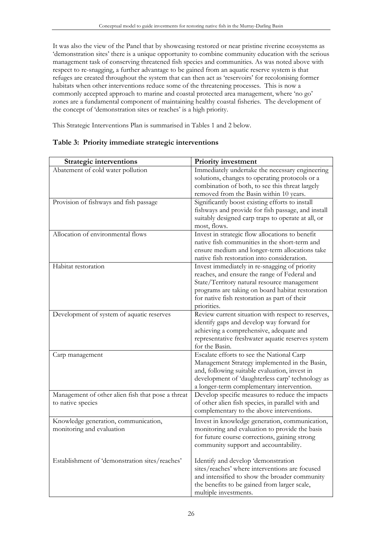It was also the view of the Panel that by showcasing restored or near pristine riverine ecosystems as 'demonstration sites' there is a unique opportunity to combine community education with the serious management task of conserving threatened fish species and communities. As was noted above with respect to re-snagging, a further advantage to be gained from an aquatic reserve system is that refuges are created throughout the system that can then act as 'reservoirs' for recolonising former habitats when other interventions reduce some of the threatening processes. This is now a commonly accepted approach to marine and coastal protected area management, where 'no go' zones are a fundamental component of maintaining healthy coastal fisheries. The development of the concept of 'demonstration sites or reaches' is a high priority.

This Strategic Interventions Plan is summarised in Tables 1 and 2 below.

| Immediately undertake the necessary engineering                                                                                                                                                   |
|---------------------------------------------------------------------------------------------------------------------------------------------------------------------------------------------------|
| solutions, changes to operating protocols or a                                                                                                                                                    |
| combination of both, to see this threat largely                                                                                                                                                   |
|                                                                                                                                                                                                   |
|                                                                                                                                                                                                   |
| fishways and provide for fish passage, and install                                                                                                                                                |
| suitably designed carp traps to operate at all, or                                                                                                                                                |
|                                                                                                                                                                                                   |
|                                                                                                                                                                                                   |
| native fish communities in the short-term and                                                                                                                                                     |
| ensure medium and longer-term allocations take                                                                                                                                                    |
|                                                                                                                                                                                                   |
|                                                                                                                                                                                                   |
|                                                                                                                                                                                                   |
| State/Territory natural resource management                                                                                                                                                       |
| programs are taking on board habitat restoration                                                                                                                                                  |
|                                                                                                                                                                                                   |
|                                                                                                                                                                                                   |
| Review current situation with respect to reserves,                                                                                                                                                |
|                                                                                                                                                                                                   |
|                                                                                                                                                                                                   |
| representative freshwater aquatic reserves system                                                                                                                                                 |
|                                                                                                                                                                                                   |
|                                                                                                                                                                                                   |
|                                                                                                                                                                                                   |
| Management Strategy implemented in the Basin,                                                                                                                                                     |
|                                                                                                                                                                                                   |
| development of 'daughterless carp' technology as                                                                                                                                                  |
|                                                                                                                                                                                                   |
| Develop specific measures to reduce the impacts                                                                                                                                                   |
| of other alien fish species, in parallel with and                                                                                                                                                 |
|                                                                                                                                                                                                   |
| Invest in knowledge generation, communication,                                                                                                                                                    |
| monitoring and evaluation to provide the basis                                                                                                                                                    |
|                                                                                                                                                                                                   |
|                                                                                                                                                                                                   |
|                                                                                                                                                                                                   |
|                                                                                                                                                                                                   |
| sites/reaches' where interventions are focused                                                                                                                                                    |
| and intensified to show the broader community                                                                                                                                                     |
|                                                                                                                                                                                                   |
|                                                                                                                                                                                                   |
| Invest in strategic flow allocations to benefit<br>Invest immediately in re-snagging of priority<br>reaches, and ensure the range of Federal and<br>for future course corrections, gaining strong |

# **Table 3: Priority immediate strategic interventions**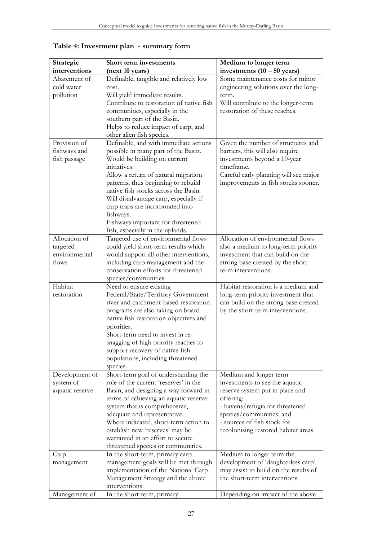| Strategic       | Short term investments                   | Medium to longer term                 |
|-----------------|------------------------------------------|---------------------------------------|
| interventions   | (next 10 years)                          | investments $(10 - 50 \text{ years})$ |
| Abatement of    | Definable, tangible and relatively low   | Some maintenance costs for minor      |
| cold water      | cost.                                    | engineering solutions over the long-  |
| pollution       | Will yield immediate results.            | term.                                 |
|                 | Contribute to restoration of native fish | Will contribute to the longer-term    |
|                 | communities, especially in the           | restoration of these reaches.         |
|                 | southern part of the Basin.              |                                       |
|                 | Helps to reduce impact of carp, and      |                                       |
|                 | other alien fish species.                |                                       |
| Provision of    | Definable, and with immediate actions    | Given the number of structures and    |
| fishways and    | possible in many part of the Basin.      | barriers, this will also require      |
| fish passage    | Would be building on current             | investments beyond a 10-year          |
|                 | initiatives.                             | timeframe.                            |
|                 | Allow a return of natural migration      | Careful early planning will see major |
|                 | patterns, thus beginning to rebuild      | improvements in fish stocks sooner.   |
|                 | native fish stocks across the Basin.     |                                       |
|                 | Will disadvantage carp, especially if    |                                       |
|                 | carp traps are incorporated into         |                                       |
|                 | fishways.                                |                                       |
|                 | Fishways important for threatened        |                                       |
|                 | fish, especially in the uplands.         |                                       |
| Allocation of   | Targeted use of environmental flows      | Allocation of environmental flows     |
| targeted        | could yield short-term results which     | also a medium to long-term priority   |
| environmental   | would support all other interventions,   | investment that can build on the      |
| flows           | including carp management and the        | strong base created by the short-     |
|                 | conservation efforts for threatened      | term interventions.                   |
|                 | species/communities                      |                                       |
| Habitat         | Need to ensure existing                  | Habitat restoration is a medium and   |
| restoration     | Federal/State/Territory Government       | long-term priority investment that    |
|                 | river and catchment-based restoration    | can build on the strong base created  |
|                 | programs are also taking on board        | by the short-term interventions.      |
|                 | native fish restoration objectives and   |                                       |
|                 | priorities.                              |                                       |
|                 | Short-term need to invest in re-         |                                       |
|                 | snagging of high priority reaches to     |                                       |
|                 | support recovery of native fish          |                                       |
|                 | populations, including threatened        |                                       |
|                 | species.                                 |                                       |
| Development of  | Short-term goal of understanding the     | Medium and longer term                |
| system of       | role of the current 'reserves' in the    | investments to see the aquatic        |
| aquatic reserve | Basin, and designing a way forward in    | reserve system put in place and       |
|                 | terms of achieving an aquatic reserve    | offering:                             |
|                 | system that is comprehensive,            | - havens/refugia for threatened       |
|                 | adequate and representative.             | species/communities; and              |
|                 | Where indicated, short-term action to    | - sources of fish stock for           |
|                 | establish new 'reserves' may be          | recolonising restored habitat areas   |
|                 | warranted in an effort to secure         |                                       |
|                 | threatened species or communities.       |                                       |
| Carp            | In the short-term, primary carp          | Medium to longer term the             |
| management      | management goals will be met through     | development of 'daughterless carp'    |
|                 | implementation of the National Carp      | may assist to build on the results of |
|                 | Management Strategy and the above        | the short-term interventions.         |
|                 | interventions.                           |                                       |
| Management of   | In the short-term, primary               | Depending on impact of the above      |

**Table 4: Investment plan - summary form**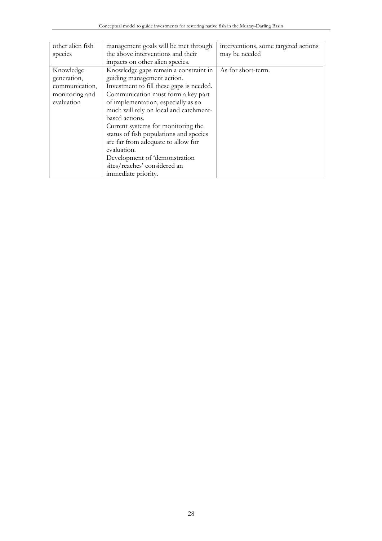| other alien fish | management goals will be met through     | interventions, some targeted actions |
|------------------|------------------------------------------|--------------------------------------|
| species          | the above interventions and their        | may be needed                        |
|                  | impacts on other alien species.          |                                      |
| Knowledge        | Knowledge gaps remain a constraint in    | As for short-term.                   |
| generation,      | guiding management action.               |                                      |
| communication,   | Investment to fill these gaps is needed. |                                      |
| monitoring and   | Communication must form a key part       |                                      |
| evaluation       | of implementation, especially as so      |                                      |
|                  | much will rely on local and catchment-   |                                      |
|                  | based actions.                           |                                      |
|                  | Current systems for monitoring the       |                                      |
|                  | status of fish populations and species   |                                      |
|                  | are far from adequate to allow for       |                                      |
|                  | evaluation.                              |                                      |
|                  | Development of 'demonstration            |                                      |
|                  | sites/reaches' considered an             |                                      |
|                  | immediate priority.                      |                                      |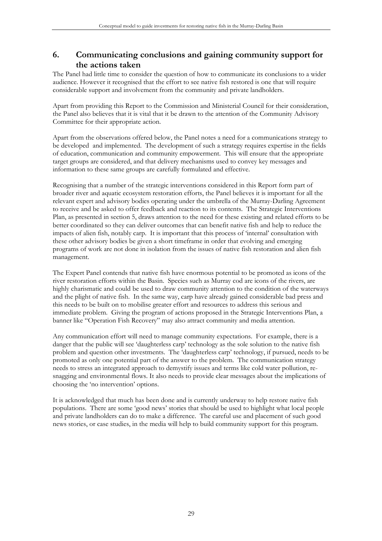# **6. Communicating conclusions and gaining community support for the actions taken**

The Panel had little time to consider the question of how to communicate its conclusions to a wider audience. However it recognised that the effort to see native fish restored is one that will require considerable support and involvement from the community and private landholders.

Apart from providing this Report to the Commission and Ministerial Council for their consideration, the Panel also believes that it is vital that it be drawn to the attention of the Community Advisory Committee for their appropriate action.

Apart from the observations offered below, the Panel notes a need for a communications strategy to be developed and implemented. The development of such a strategy requires expertise in the fields of education, communication and community empowerment. This will ensure that the appropriate target groups are considered, and that delivery mechanisms used to convey key messages and information to these same groups are carefully formulated and effective.

Recognising that a number of the strategic interventions considered in this Report form part of broader river and aquatic ecosystem restoration efforts, the Panel believes it is important for all the relevant expert and advisory bodies operating under the umbrella of the Murray-Darling Agreement to receive and be asked to offer feedback and reaction to its contents. The Strategic Interventions Plan, as presented in section 5, draws attention to the need for these existing and related efforts to be better coordinated so they can deliver outcomes that can benefit native fish and help to reduce the impacts of alien fish, notably carp. It is important that this process of 'internal' consultation with these other advisory bodies be given a short timeframe in order that evolving and emerging programs of work are not done in isolation from the issues of native fish restoration and alien fish management.

The Expert Panel contends that native fish have enormous potential to be promoted as icons of the river restoration efforts within the Basin. Species such as Murray cod are icons of the rivers, are highly charismatic and could be used to draw community attention to the condition of the waterways and the plight of native fish. In the same way, carp have already gained considerable bad press and this needs to be built on to mobilise greater effort and resources to address this serious and immediate problem. Giving the program of actions proposed in the Strategic Interventions Plan, a banner like "Operation Fish Recovery" may also attract community and media attention.

Any communication effort will need to manage community expectations. For example, there is a danger that the public will see 'daughterless carp' technology as the sole solution to the native fish problem and question other investments. The 'daughterless carp' technology, if pursued, needs to be promoted as only one potential part of the answer to the problem. The communication strategy needs to stress an integrated approach to demystify issues and terms like cold water pollution, resnagging and environmental flows. It also needs to provide clear messages about the implications of choosing the 'no intervention' options.

It is acknowledged that much has been done and is currently underway to help restore native fish populations. There are some 'good news' stories that should be used to highlight what local people and private landholders can do to make a difference. The careful use and placement of such good news stories, or case studies, in the media will help to build community support for this program.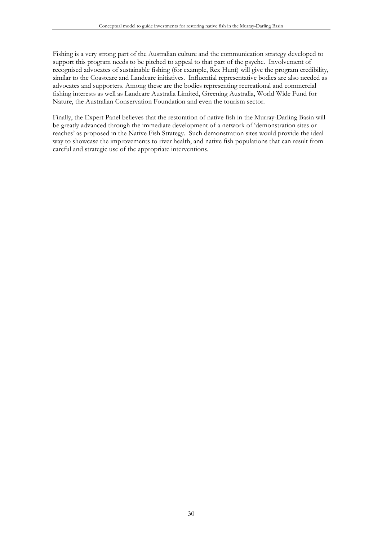Fishing is a very strong part of the Australian culture and the communication strategy developed to support this program needs to be pitched to appeal to that part of the psyche. Involvement of recognised advocates of sustainable fishing (for example, Rex Hunt) will give the program credibility, similar to the Coastcare and Landcare initiatives. Influential representative bodies are also needed as advocates and supporters. Among these are the bodies representing recreational and commercial fishing interests as well as Landcare Australia Limited, Greening Australia, World Wide Fund for Nature, the Australian Conservation Foundation and even the tourism sector.

Finally, the Expert Panel believes that the restoration of native fish in the Murray-Darling Basin will be greatly advanced through the immediate development of a network of 'demonstration sites or reaches' as proposed in the Native Fish Strategy. Such demonstration sites would provide the ideal way to showcase the improvements to river health, and native fish populations that can result from careful and strategic use of the appropriate interventions.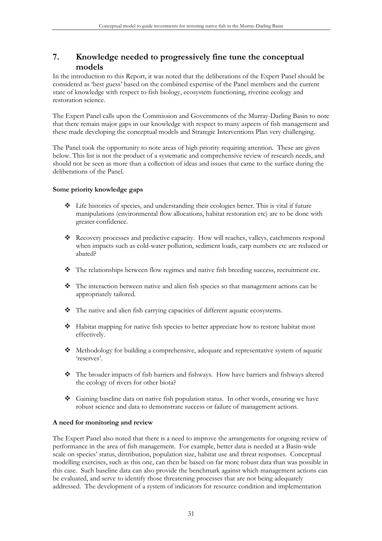# **7. Knowledge needed to progressively fine tune the conceptual models**

In the introduction to this Report, it was noted that the deliberations of the Expert Panel should be considered as 'best guess' based on the combined expertise of the Panel members and the current state of knowledge with respect to fish biology, ecosystem functioning, riverine ecology and restoration science.

The Expert Panel calls upon the Commission and Governments of the Murray-Darling Basin to note that there remain major gaps in our knowledge with respect to many aspects of fish management and these made developing the conceptual models and Strategic Interventions Plan very challenging.

The Panel took the opportunity to note areas of high priority requiring attention. These are given below. This list is not the product of a systematic and comprehensive review of research needs, and should not be seen as more than a collection of ideas and issues that came to the surface during the deliberations of the Panel.

#### **Some priority knowledge gaps**

- Life histories of species, and understanding their ecologies better. This is vital if future manipulations (environmental flow allocations, habitat restoration etc) are to be done with greater confidence.
- Recovery processes and predictive capacity. How will reaches, valleys, catchments respond when impacts such as cold-water pollution, sediment loads, carp numbers etc are reduced or abated?
- The relationships between flow regimes and native fish breeding success, recruitment etc.
- The interaction between native and alien fish species so that management actions can be appropriately tailored.
- The native and alien fish carrying capacities of different aquatic ecosystems.
- Habitat mapping for native fish species to better appreciate how to restore habitat most effectively.
- Methodology for building a comprehensive, adequate and representative system of aquatic 'reserves'.
- The broader impacts of fish barriers and fishways. How have barriers and fishways altered the ecology of rivers for other biota?
- Gaining baseline data on native fish population status. In other words, ensuring we have robust science and data to demonstrate success or failure of management actions.

#### **A need for monitoring and review**

The Expert Panel also noted that there is a need to improve the arrangements for ongoing review of performance in the area of fish management. For example, better data is needed at a Basin-wide scale on species' status, distribution, population size, habitat use and threat responses. Conceptual modelling exercises, such as this one, can then be based on far more robust data than was possible in this case. Such baseline data can also provide the benchmark against which management actions can be evaluated, and serve to identify those threatening processes that are not being adequately addressed. The development of a system of indicators for resource condition and implementation